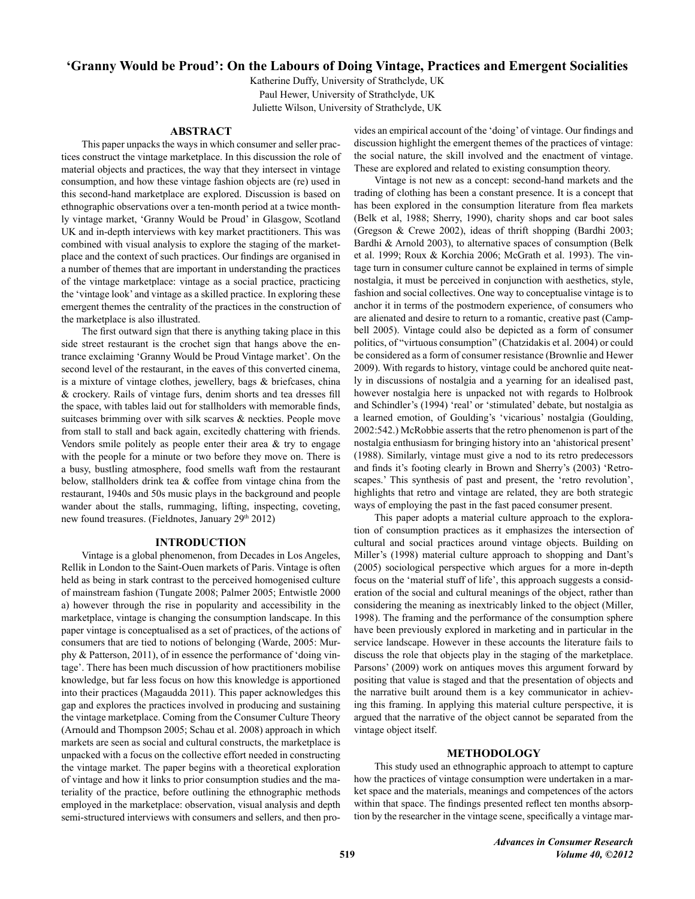# **'Granny Would be Proud': On the Labours of Doing Vintage, Practices and Emergent Socialities**

Katherine Duffy, University of Strathclyde, UK

Paul Hewer, University of Strathclyde, UK

Juliette Wilson, University of Strathclyde, UK

# **Abstract**

This paper unpacks the ways in which consumer and seller practices construct the vintage marketplace. In this discussion the role of material objects and practices, the way that they intersect in vintage consumption, and how these vintage fashion objects are (re) used in this second-hand marketplace are explored. Discussion is based on ethnographic observations over a ten-month period at a twice monthly vintage market, 'Granny Would be Proud' in Glasgow, Scotland UK and in-depth interviews with key market practitioners. This was combined with visual analysis to explore the staging of the marketplace and the context of such practices. Our findings are organised in a number of themes that are important in understanding the practices of the vintage marketplace: vintage as a social practice, practicing the 'vintage look' and vintage as a skilled practice. In exploring these emergent themes the centrality of the practices in the construction of the marketplace is also illustrated.

The first outward sign that there is anything taking place in this side street restaurant is the crochet sign that hangs above the entrance exclaiming 'Granny Would be Proud Vintage market'. On the second level of the restaurant, in the eaves of this converted cinema, is a mixture of vintage clothes, jewellery, bags & briefcases, china & crockery. Rails of vintage furs, denim shorts and tea dresses fill the space, with tables laid out for stallholders with memorable finds, suitcases brimming over with silk scarves & neckties. People move from stall to stall and back again, excitedly chattering with friends. Vendors smile politely as people enter their area  $\&$  try to engage with the people for a minute or two before they move on. There is a busy, bustling atmosphere, food smells waft from the restaurant below, stallholders drink tea & coffee from vintage china from the restaurant, 1940s and 50s music plays in the background and people wander about the stalls, rummaging, lifting, inspecting, coveting, new found treasures. (Fieldnotes, January 29<sup>th</sup> 2012)

# **Introduction**

Vintage is a global phenomenon, from Decades in Los Angeles, Rellik in London to the Saint-Ouen markets of Paris. Vintage is often held as being in stark contrast to the perceived homogenised culture of mainstream fashion (Tungate 2008; Palmer 2005; Entwistle 2000 a) however through the rise in popularity and accessibility in the marketplace, vintage is changing the consumption landscape. In this paper vintage is conceptualised as a set of practices, of the actions of consumers that are tied to notions of belonging (Warde, 2005: Murphy & Patterson, 2011), of in essence the performance of 'doing vintage'. There has been much discussion of how practitioners mobilise knowledge, but far less focus on how this knowledge is apportioned into their practices (Magaudda 2011). This paper acknowledges this gap and explores the practices involved in producing and sustaining the vintage marketplace. Coming from the Consumer Culture Theory (Arnould and Thompson 2005; Schau et al. 2008) approach in which markets are seen as social and cultural constructs, the marketplace is unpacked with a focus on the collective effort needed in constructing the vintage market. The paper begins with a theoretical exploration of vintage and how it links to prior consumption studies and the materiality of the practice, before outlining the ethnographic methods employed in the marketplace: observation, visual analysis and depth semi-structured interviews with consumers and sellers, and then provides an empirical account of the 'doing' of vintage. Our findings and discussion highlight the emergent themes of the practices of vintage: the social nature, the skill involved and the enactment of vintage. These are explored and related to existing consumption theory.

Vintage is not new as a concept: second-hand markets and the trading of clothing has been a constant presence. It is a concept that has been explored in the consumption literature from flea markets (Belk et al, 1988; Sherry, 1990), charity shops and car boot sales (Gregson & Crewe 2002), ideas of thrift shopping (Bardhi 2003; Bardhi & Arnold 2003), to alternative spaces of consumption (Belk et al. 1999; Roux & Korchia 2006; McGrath et al. 1993). The vintage turn in consumer culture cannot be explained in terms of simple nostalgia, it must be perceived in conjunction with aesthetics, style, fashion and social collectives. One way to conceptualise vintage is to anchor it in terms of the postmodern experience, of consumers who are alienated and desire to return to a romantic, creative past (Campbell 2005). Vintage could also be depicted as a form of consumer politics, of "virtuous consumption" (Chatzidakis et al. 2004) or could be considered as a form of consumer resistance (Brownlie and Hewer 2009). With regards to history, vintage could be anchored quite neatly in discussions of nostalgia and a yearning for an idealised past, however nostalgia here is unpacked not with regards to Holbrook and Schindler's (1994) 'real' or 'stimulated' debate, but nostalgia as a learned emotion, of Goulding's 'vicarious' nostalgia (Goulding, 2002:542.) McRobbie asserts that the retro phenomenon is part of the nostalgia enthusiasm for bringing history into an 'ahistorical present' (1988). Similarly, vintage must give a nod to its retro predecessors and finds it's footing clearly in Brown and Sherry's (2003) 'Retroscapes.' This synthesis of past and present, the 'retro revolution', highlights that retro and vintage are related, they are both strategic ways of employing the past in the fast paced consumer present.

This paper adopts a material culture approach to the exploration of consumption practices as it emphasizes the intersection of cultural and social practices around vintage objects. Building on Miller's (1998) material culture approach to shopping and Dant's (2005) sociological perspective which argues for a more in-depth focus on the 'material stuff of life', this approach suggests a consideration of the social and cultural meanings of the object, rather than considering the meaning as inextricably linked to the object (Miller, 1998). The framing and the performance of the consumption sphere have been previously explored in marketing and in particular in the service landscape. However in these accounts the literature fails to discuss the role that objects play in the staging of the marketplace. Parsons' (2009) work on antiques moves this argument forward by positing that value is staged and that the presentation of objects and the narrative built around them is a key communicator in achieving this framing. In applying this material culture perspective, it is argued that the narrative of the object cannot be separated from the vintage object itself.

## **Methodology**

This study used an ethnographic approach to attempt to capture how the practices of vintage consumption were undertaken in a market space and the materials, meanings and competences of the actors within that space. The findings presented reflect ten months absorption by the researcher in the vintage scene, specifically a vintage mar-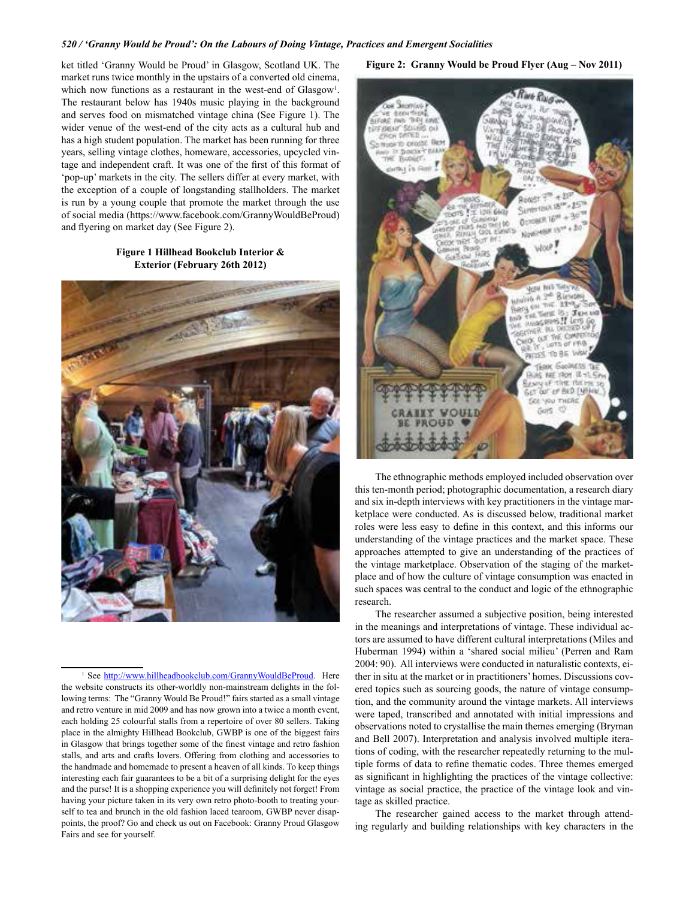#### *520 / 'Granny Would be Proud': On the Labours of Doing Vintage, Practices and Emergent Socialities*

ket titled 'Granny Would be Proud' in Glasgow, Scotland UK. The market runs twice monthly in the upstairs of a converted old cinema, which now functions as a restaurant in the west-end of Glasgow<sup>1</sup>. The restaurant below has 1940s music playing in the background and serves food on mismatched vintage china (See Figure 1). The wider venue of the west-end of the city acts as a cultural hub and has a high student population. The market has been running for three years, selling vintage clothes, homeware, accessories, upcycled vintage and independent craft. It was one of the first of this format of 'pop-up' markets in the city. The sellers differ at every market, with the exception of a couple of longstanding stallholders. The market is run by a young couple that promote the market through the use of social media (https://www.facebook.com/GrannyWouldBeProud) and flyering on market day (See Figure 2).

## **Figure 1 Hillhead Bookclub Interior & Exterior (February 26th 2012)**



<sup>&</sup>lt;sup>1</sup> See http://www.hillheadbookclub.com/GrannyWouldBeProud. Here the website constructs its other-worldly non-mainstream delights in the following terms: The "Granny Would Be Proud!" fairs started as a small vintage and retro venture in mid 2009 and has now grown into a twice a month event, each holding 25 colourful stalls from a repertoire of over 80 sellers. Taking place in the almighty Hillhead Bookclub, GWBP is one of the biggest fairs in Glasgow that brings together some of the finest vintage and retro fashion stalls, and arts and crafts lovers. Offering from clothing and accessories to the handmade and homemade to present a heaven of all kinds. To keep things interesting each fair guarantees to be a bit of a surprising delight for the eyes and the purse! It is a shopping experience you will definitely not forget! From having your picture taken in its very own retro photo-booth to treating yourself to tea and brunch in the old fashion laced tearoom, GWBP never disappoints, the proof? Go and check us out on Facebook: Granny Proud Glasgow Fairs and see for yourself.

**Figure 2: Granny Would be Proud Flyer (Aug – Nov 2011)**



The ethnographic methods employed included observation over this ten-month period; photographic documentation, a research diary and six in-depth interviews with key practitioners in the vintage marketplace were conducted. As is discussed below, traditional market roles were less easy to define in this context, and this informs our understanding of the vintage practices and the market space. These approaches attempted to give an understanding of the practices of the vintage marketplace. Observation of the staging of the marketplace and of how the culture of vintage consumption was enacted in such spaces was central to the conduct and logic of the ethnographic research.

The researcher assumed a subjective position, being interested in the meanings and interpretations of vintage. These individual actors are assumed to have different cultural interpretations (Miles and Huberman 1994) within a 'shared social milieu' (Perren and Ram 2004: 90). All interviews were conducted in naturalistic contexts, either in situ at the market or in practitioners' homes. Discussions covered topics such as sourcing goods, the nature of vintage consumption, and the community around the vintage markets. All interviews were taped, transcribed and annotated with initial impressions and observations noted to crystallise the main themes emerging (Bryman and Bell 2007). Interpretation and analysis involved multiple iterations of coding, with the researcher repeatedly returning to the multiple forms of data to refine thematic codes. Three themes emerged as significant in highlighting the practices of the vintage collective: vintage as social practice, the practice of the vintage look and vintage as skilled practice.

The researcher gained access to the market through attending regularly and building relationships with key characters in the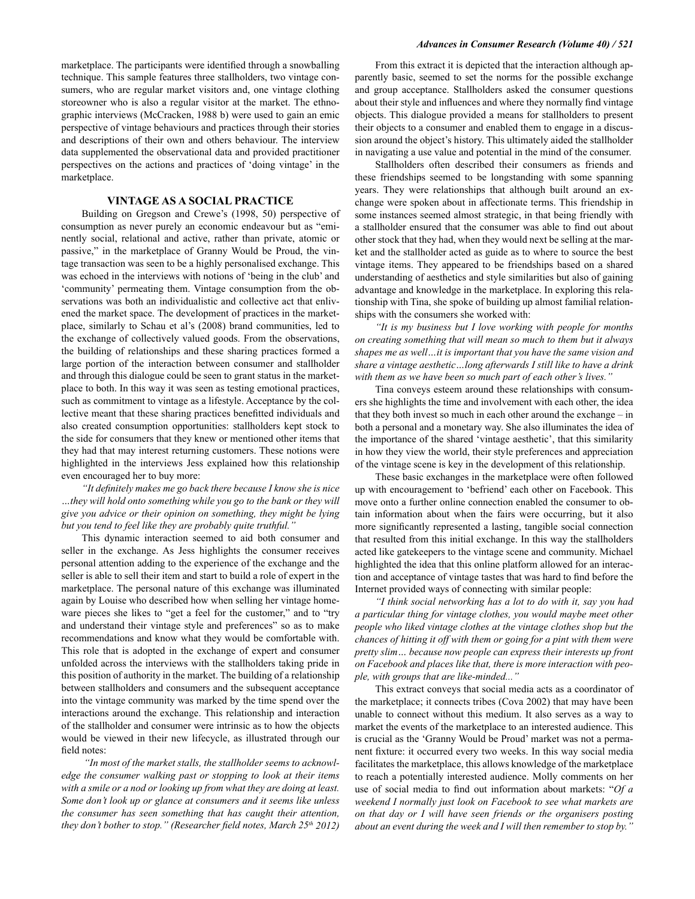marketplace. The participants were identified through a snowballing technique. This sample features three stallholders, two vintage consumers, who are regular market visitors and, one vintage clothing storeowner who is also a regular visitor at the market. The ethnographic interviews (McCracken, 1988 b) were used to gain an emic perspective of vintage behaviours and practices through their stories and descriptions of their own and others behaviour. The interview data supplemented the observational data and provided practitioner perspectives on the actions and practices of 'doing vintage' in the marketplace.

## **Vintage as a Social Practice**

Building on Gregson and Crewe's (1998, 50) perspective of consumption as never purely an economic endeavour but as "eminently social, relational and active, rather than private, atomic or passive," in the marketplace of Granny Would be Proud, the vintage transaction was seen to be a highly personalised exchange. This was echoed in the interviews with notions of 'being in the club' and 'community' permeating them. Vintage consumption from the observations was both an individualistic and collective act that enlivened the market space. The development of practices in the marketplace, similarly to Schau et al's (2008) brand communities, led to the exchange of collectively valued goods. From the observations, the building of relationships and these sharing practices formed a large portion of the interaction between consumer and stallholder and through this dialogue could be seen to grant status in the marketplace to both. In this way it was seen as testing emotional practices, such as commitment to vintage as a lifestyle. Acceptance by the collective meant that these sharing practices benefitted individuals and also created consumption opportunities: stallholders kept stock to the side for consumers that they knew or mentioned other items that they had that may interest returning customers. These notions were highlighted in the interviews Jess explained how this relationship even encouraged her to buy more:

*"It definitely makes me go back there because I know she is nice …they will hold onto something while you go to the bank or they will give you advice or their opinion on something, they might be lying but you tend to feel like they are probably quite truthful."* 

This dynamic interaction seemed to aid both consumer and seller in the exchange. As Jess highlights the consumer receives personal attention adding to the experience of the exchange and the seller is able to sell their item and start to build a role of expert in the marketplace. The personal nature of this exchange was illuminated again by Louise who described how when selling her vintage homeware pieces she likes to "get a feel for the customer," and to "try and understand their vintage style and preferences" so as to make recommendations and know what they would be comfortable with. This role that is adopted in the exchange of expert and consumer unfolded across the interviews with the stallholders taking pride in this position of authority in the market. The building of a relationship between stallholders and consumers and the subsequent acceptance into the vintage community was marked by the time spend over the interactions around the exchange. This relationship and interaction of the stallholder and consumer were intrinsic as to how the objects would be viewed in their new lifecycle, as illustrated through our field notes:

 *"In most of the market stalls, the stallholder seems to acknowledge the consumer walking past or stopping to look at their items with a smile or a nod or looking up from what they are doing at least. Some don't look up or glance at consumers and it seems like unless the consumer has seen something that has caught their attention, they don't bother to stop." (Researcher field notes, March 25th 2012)*

#### *Advances in Consumer Research (Volume 40) / 521*

From this extract it is depicted that the interaction although apparently basic, seemed to set the norms for the possible exchange and group acceptance. Stallholders asked the consumer questions about their style and influences and where they normally find vintage objects. This dialogue provided a means for stallholders to present their objects to a consumer and enabled them to engage in a discussion around the object's history. This ultimately aided the stallholder in navigating a use value and potential in the mind of the consumer.

Stallholders often described their consumers as friends and these friendships seemed to be longstanding with some spanning years. They were relationships that although built around an exchange were spoken about in affectionate terms. This friendship in some instances seemed almost strategic, in that being friendly with a stallholder ensured that the consumer was able to find out about other stock that they had, when they would next be selling at the market and the stallholder acted as guide as to where to source the best vintage items. They appeared to be friendships based on a shared understanding of aesthetics and style similarities but also of gaining advantage and knowledge in the marketplace. In exploring this relationship with Tina, she spoke of building up almost familial relationships with the consumers she worked with:

*"It is my business but I love working with people for months on creating something that will mean so much to them but it always shapes me as well…it is important that you have the same vision and share a vintage aesthetic…long afterwards I still like to have a drink with them as we have been so much part of each other's lives."*

Tina conveys esteem around these relationships with consumers she highlights the time and involvement with each other, the idea that they both invest so much in each other around the exchange – in both a personal and a monetary way. She also illuminates the idea of the importance of the shared 'vintage aesthetic', that this similarity in how they view the world, their style preferences and appreciation of the vintage scene is key in the development of this relationship.

These basic exchanges in the marketplace were often followed up with encouragement to 'befriend' each other on Facebook. This move onto a further online connection enabled the consumer to obtain information about when the fairs were occurring, but it also more significantly represented a lasting, tangible social connection that resulted from this initial exchange. In this way the stallholders acted like gatekeepers to the vintage scene and community. Michael highlighted the idea that this online platform allowed for an interaction and acceptance of vintage tastes that was hard to find before the Internet provided ways of connecting with similar people:

*"I think social networking has a lot to do with it, say you had a particular thing for vintage clothes, you would maybe meet other people who liked vintage clothes at the vintage clothes shop but the chances of hitting it off with them or going for a pint with them were pretty slim… because now people can express their interests up front on Facebook and places like that, there is more interaction with people, with groups that are like-minded..."* 

This extract conveys that social media acts as a coordinator of the marketplace; it connects tribes (Cova 2002) that may have been unable to connect without this medium. It also serves as a way to market the events of the marketplace to an interested audience. This is crucial as the 'Granny Would be Proud' market was not a permanent fixture: it occurred every two weeks. In this way social media facilitates the marketplace, this allows knowledge of the marketplace to reach a potentially interested audience. Molly comments on her use of social media to find out information about markets: "*Of a weekend I normally just look on Facebook to see what markets are on that day or I will have seen friends or the organisers posting about an event during the week and I will then remember to stop by."*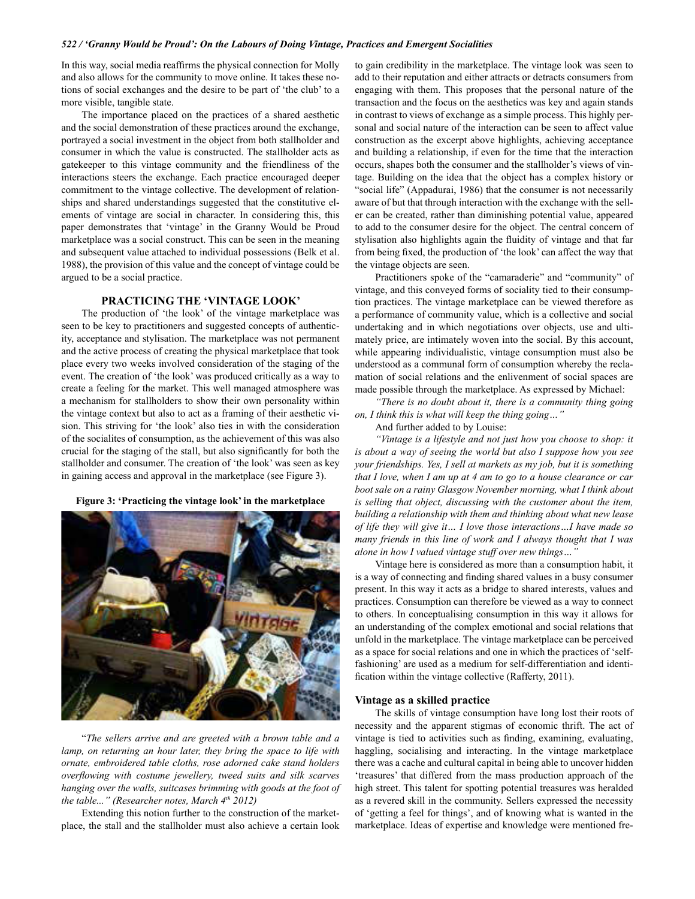#### *522 / 'Granny Would be Proud': On the Labours of Doing Vintage, Practices and Emergent Socialities*

In this way, social media reaffirms the physical connection for Molly and also allows for the community to move online. It takes these notions of social exchanges and the desire to be part of 'the club' to a more visible, tangible state.

The importance placed on the practices of a shared aesthetic and the social demonstration of these practices around the exchange, portrayed a social investment in the object from both stallholder and consumer in which the value is constructed. The stallholder acts as gatekeeper to this vintage community and the friendliness of the interactions steers the exchange. Each practice encouraged deeper commitment to the vintage collective. The development of relationships and shared understandings suggested that the constitutive elements of vintage are social in character. In considering this, this paper demonstrates that 'vintage' in the Granny Would be Proud marketplace was a social construct. This can be seen in the meaning and subsequent value attached to individual possessions (Belk et al. 1988), the provision of this value and the concept of vintage could be argued to be a social practice.

## **Practicing the 'Vintage Look'**

The production of 'the look' of the vintage marketplace was seen to be key to practitioners and suggested concepts of authenticity, acceptance and stylisation. The marketplace was not permanent and the active process of creating the physical marketplace that took place every two weeks involved consideration of the staging of the event. The creation of 'the look' was produced critically as a way to create a feeling for the market. This well managed atmosphere was a mechanism for stallholders to show their own personality within the vintage context but also to act as a framing of their aesthetic vision. This striving for 'the look' also ties in with the consideration of the socialites of consumption, as the achievement of this was also crucial for the staging of the stall, but also significantly for both the stallholder and consumer. The creation of 'the look' was seen as key in gaining access and approval in the marketplace (see Figure 3).

## **Figure 3: 'Practicing the vintage look' in the marketplace**



"*The sellers arrive and are greeted with a brown table and a lamp, on returning an hour later, they bring the space to life with ornate, embroidered table cloths, rose adorned cake stand holders overflowing with costume jewellery, tweed suits and silk scarves hanging over the walls, suitcases brimming with goods at the foot of the table..." (Researcher notes, March 4th 2012)*

Extending this notion further to the construction of the marketplace, the stall and the stallholder must also achieve a certain look to gain credibility in the marketplace. The vintage look was seen to add to their reputation and either attracts or detracts consumers from engaging with them. This proposes that the personal nature of the transaction and the focus on the aesthetics was key and again stands in contrast to views of exchange as a simple process. This highly personal and social nature of the interaction can be seen to affect value construction as the excerpt above highlights, achieving acceptance and building a relationship, if even for the time that the interaction occurs, shapes both the consumer and the stallholder's views of vintage. Building on the idea that the object has a complex history or "social life" (Appadurai, 1986) that the consumer is not necessarily aware of but that through interaction with the exchange with the seller can be created, rather than diminishing potential value, appeared to add to the consumer desire for the object. The central concern of stylisation also highlights again the fluidity of vintage and that far from being fixed, the production of 'the look' can affect the way that the vintage objects are seen.

Practitioners spoke of the "camaraderie" and "community" of vintage, and this conveyed forms of sociality tied to their consumption practices. The vintage marketplace can be viewed therefore as a performance of community value, which is a collective and social undertaking and in which negotiations over objects, use and ultimately price, are intimately woven into the social. By this account, while appearing individualistic, vintage consumption must also be understood as a communal form of consumption whereby the reclamation of social relations and the enlivenment of social spaces are made possible through the marketplace. As expressed by Michael:

*"There is no doubt about it, there is a community thing going on, I think this is what will keep the thing going…"* 

And further added to by Louise:

*"Vintage is a lifestyle and not just how you choose to shop: it is about a way of seeing the world but also I suppose how you see your friendships. Yes, I sell at markets as my job, but it is something that I love, when I am up at 4 am to go to a house clearance or car boot sale on a rainy Glasgow November morning, what I think about is selling that object, discussing with the customer about the item, building a relationship with them and thinking about what new lease of life they will give it… I love those interactions…I have made so many friends in this line of work and I always thought that I was alone in how I valued vintage stuff over new things…"*

Vintage here is considered as more than a consumption habit, it is a way of connecting and finding shared values in a busy consumer present. In this way it acts as a bridge to shared interests, values and practices. Consumption can therefore be viewed as a way to connect to others. In conceptualising consumption in this way it allows for an understanding of the complex emotional and social relations that unfold in the marketplace. The vintage marketplace can be perceived as a space for social relations and one in which the practices of 'selffashioning' are used as a medium for self-differentiation and identification within the vintage collective (Rafferty, 2011).

#### **Vintage as a skilled practice**

The skills of vintage consumption have long lost their roots of necessity and the apparent stigmas of economic thrift. The act of vintage is tied to activities such as finding, examining, evaluating, haggling, socialising and interacting. In the vintage marketplace there was a cache and cultural capital in being able to uncover hidden 'treasures' that differed from the mass production approach of the high street. This talent for spotting potential treasures was heralded as a revered skill in the community. Sellers expressed the necessity of 'getting a feel for things', and of knowing what is wanted in the marketplace. Ideas of expertise and knowledge were mentioned fre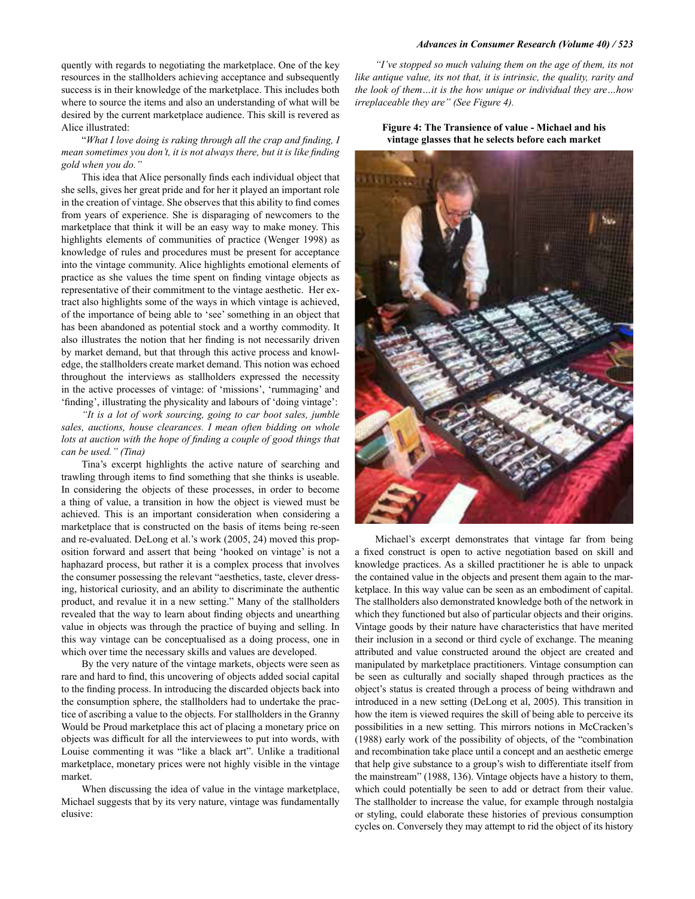quently with regards to negotiating the marketplace. One of the key resources in the stallholders achieving acceptance and subsequently success is in their knowledge of the marketplace. This includes both where to source the items and also an understanding of what will be desired by the current marketplace audience. This skill is revered as Alice illustrated:

"*What I love doing is raking through all the crap and finding, I mean sometimes you don't, it is not always there, but it is like finding gold when you do."* 

This idea that Alice personally finds each individual object that she sells, gives her great pride and for her it played an important role in the creation of vintage. She observes that this ability to find comes from years of experience. She is disparaging of newcomers to the marketplace that think it will be an easy way to make money. This highlights elements of communities of practice (Wenger 1998) as knowledge of rules and procedures must be present for acceptance into the vintage community. Alice highlights emotional elements of practice as she values the time spent on finding vintage objects as representative of their commitment to the vintage aesthetic. Her extract also highlights some of the ways in which vintage is achieved, of the importance of being able to 'see' something in an object that has been abandoned as potential stock and a worthy commodity. It also illustrates the notion that her finding is not necessarily driven by market demand, but that through this active process and knowledge, the stallholders create market demand. This notion was echoed throughout the interviews as stallholders expressed the necessity in the active processes of vintage: of 'missions', 'rummaging' and 'finding', illustrating the physicality and labours of 'doing vintage':

*"It is a lot of work sourcing, going to car boot sales, jumble sales, auctions, house clearances. I mean often bidding on whole lots at auction with the hope of finding a couple of good things that can be used." (Tina)*

Tina's excerpt highlights the active nature of searching and trawling through items to find something that she thinks is useable. In considering the objects of these processes, in order to become a thing of value, a transition in how the object is viewed must be achieved. This is an important consideration when considering a marketplace that is constructed on the basis of items being re-seen and re-evaluated. DeLong et al.'s work (2005, 24) moved this proposition forward and assert that being 'hooked on vintage' is not a haphazard process, but rather it is a complex process that involves the consumer possessing the relevant "aesthetics, taste, clever dressing, historical curiosity, and an ability to discriminate the authentic product, and revalue it in a new setting." Many of the stallholders revealed that the way to learn about finding objects and unearthing value in objects was through the practice of buying and selling. In this way vintage can be conceptualised as a doing process, one in which over time the necessary skills and values are developed.

By the very nature of the vintage markets, objects were seen as rare and hard to find, this uncovering of objects added social capital to the finding process. In introducing the discarded objects back into the consumption sphere, the stallholders had to undertake the practice of ascribing a value to the objects. For stallholders in the Granny Would be Proud marketplace this act of placing a monetary price on objects was difficult for all the interviewees to put into words, with Louise commenting it was "like a black art". Unlike a traditional marketplace, monetary prices were not highly visible in the vintage market.

When discussing the idea of value in the vintage marketplace, Michael suggests that by its very nature, vintage was fundamentally elusive:

*"I've stopped so much valuing them on the age of them, its not like antique value, its not that, it is intrinsic, the quality, rarity and the look of them…it is the how unique or individual they are…how irreplaceable they are" (See Figure 4).*

**Figure 4: The Transience of value - Michael and his vintage glasses that he selects before each market**



Michael's excerpt demonstrates that vintage far from being a fixed construct is open to active negotiation based on skill and knowledge practices. As a skilled practitioner he is able to unpack the contained value in the objects and present them again to the marketplace. In this way value can be seen as an embodiment of capital. The stallholders also demonstrated knowledge both of the network in which they functioned but also of particular objects and their origins. Vintage goods by their nature have characteristics that have merited their inclusion in a second or third cycle of exchange. The meaning attributed and value constructed around the object are created and manipulated by marketplace practitioners. Vintage consumption can be seen as culturally and socially shaped through practices as the object's status is created through a process of being withdrawn and introduced in a new setting (DeLong et al, 2005). This transition in how the item is viewed requires the skill of being able to perceive its possibilities in a new setting. This mirrors notions in McCracken's (1988) early work of the possibility of objects, of the "combination and recombination take place until a concept and an aesthetic emerge that help give substance to a group's wish to differentiate itself from the mainstream" (1988, 136). Vintage objects have a history to them, which could potentially be seen to add or detract from their value. The stallholder to increase the value, for example through nostalgia or styling, could elaborate these histories of previous consumption cycles on. Conversely they may attempt to rid the object of its history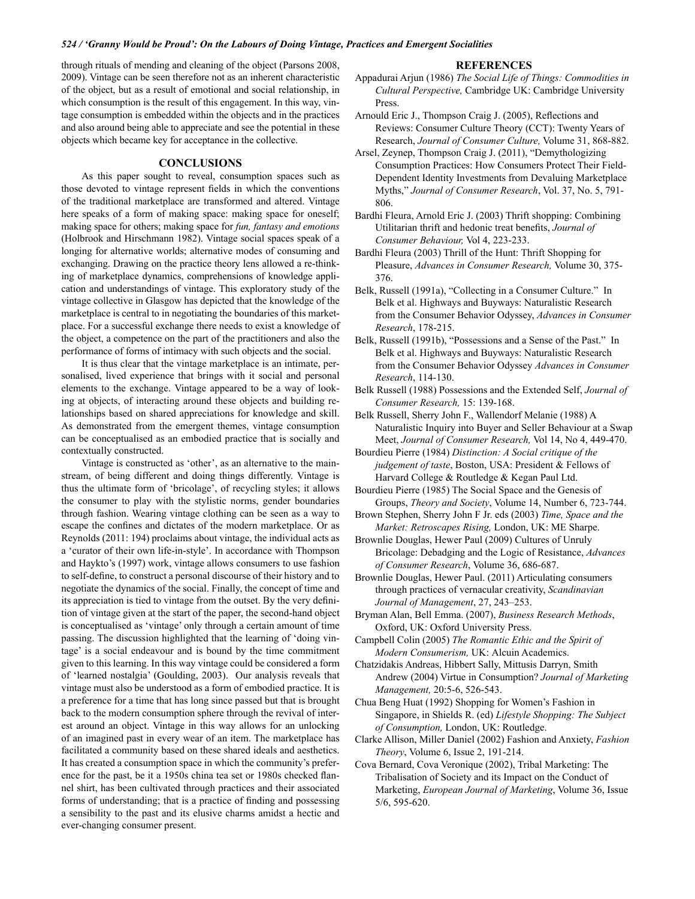#### *524 / 'Granny Would be Proud': On the Labours of Doing Vintage, Practices and Emergent Socialities*

through rituals of mending and cleaning of the object (Parsons 2008, 2009). Vintage can be seen therefore not as an inherent characteristic of the object, but as a result of emotional and social relationship, in which consumption is the result of this engagement. In this way, vintage consumption is embedded within the objects and in the practices and also around being able to appreciate and see the potential in these objects which became key for acceptance in the collective.

### **Conclusions**

As this paper sought to reveal, consumption spaces such as those devoted to vintage represent fields in which the conventions of the traditional marketplace are transformed and altered. Vintage here speaks of a form of making space: making space for oneself; making space for others; making space for *fun, fantasy and emotions* (Holbrook and Hirschmann 1982). Vintage social spaces speak of a longing for alternative worlds; alternative modes of consuming and exchanging. Drawing on the practice theory lens allowed a re-thinking of marketplace dynamics, comprehensions of knowledge application and understandings of vintage. This exploratory study of the vintage collective in Glasgow has depicted that the knowledge of the marketplace is central to in negotiating the boundaries of this marketplace. For a successful exchange there needs to exist a knowledge of the object, a competence on the part of the practitioners and also the performance of forms of intimacy with such objects and the social.

It is thus clear that the vintage marketplace is an intimate, personalised, lived experience that brings with it social and personal elements to the exchange. Vintage appeared to be a way of looking at objects, of interacting around these objects and building relationships based on shared appreciations for knowledge and skill. As demonstrated from the emergent themes, vintage consumption can be conceptualised as an embodied practice that is socially and contextually constructed.

Vintage is constructed as 'other', as an alternative to the mainstream, of being different and doing things differently. Vintage is thus the ultimate form of 'bricolage', of recycling styles; it allows the consumer to play with the stylistic norms, gender boundaries through fashion. Wearing vintage clothing can be seen as a way to escape the confines and dictates of the modern marketplace. Or as Reynolds (2011: 194) proclaims about vintage, the individual acts as a 'curator of their own life-in-style'. In accordance with Thompson and Haykto's (1997) work, vintage allows consumers to use fashion to self-define, to construct a personal discourse of their history and to negotiate the dynamics of the social. Finally, the concept of time and its appreciation is tied to vintage from the outset. By the very definition of vintage given at the start of the paper, the second-hand object is conceptualised as 'vintage' only through a certain amount of time passing. The discussion highlighted that the learning of 'doing vintage' is a social endeavour and is bound by the time commitment given to this learning. In this way vintage could be considered a form of 'learned nostalgia' (Goulding, 2003). Our analysis reveals that vintage must also be understood as a form of embodied practice. It is a preference for a time that has long since passed but that is brought back to the modern consumption sphere through the revival of interest around an object. Vintage in this way allows for an unlocking of an imagined past in every wear of an item. The marketplace has facilitated a community based on these shared ideals and aesthetics. It has created a consumption space in which the community's preference for the past, be it a 1950s china tea set or 1980s checked flannel shirt, has been cultivated through practices and their associated forms of understanding; that is a practice of finding and possessing a sensibility to the past and its elusive charms amidst a hectic and ever-changing consumer present.

#### **References**

- Appadurai Arjun (1986) *The Social Life of Things: Commodities in Cultural Perspective,* Cambridge UK: Cambridge University Press.
- Arnould Eric J., Thompson Craig J. (2005), Reflections and Reviews: Consumer Culture Theory (CCT): Twenty Years of Research, *Journal of Consumer Culture,* Volume 31, 868-882.
- Arsel, Zeynep, Thompson Craig J. (2011), "Demythologizing Consumption Practices: How Consumers Protect Their Field-Dependent Identity Investments from Devaluing Marketplace Myths," *Journal of Consumer Research*, Vol. 37, No. 5, 791- 806.
- Bardhi Fleura, Arnold Eric J. (2003) Thrift shopping: Combining Utilitarian thrift and hedonic treat benefits, *Journal of Consumer Behaviour,* Vol 4, 223-233.
- Bardhi Fleura (2003) Thrill of the Hunt: Thrift Shopping for Pleasure, *Advances in Consumer Research,* Volume 30, 375- 376.
- Belk, Russell (1991a), "Collecting in a Consumer Culture." In Belk et al. Highways and Buyways: Naturalistic Research from the Consumer Behavior Odyssey, *Advances in Consumer Research*, 178-215.
- Belk, Russell (1991b), "Possessions and a Sense of the Past." In Belk et al. Highways and Buyways: Naturalistic Research from the Consumer Behavior Odyssey *Advances in Consumer Research*, 114-130.
- Belk Russell (1988) Possessions and the Extended Self, *Journal of Consumer Research,* 15: 139-168.
- Belk Russell, Sherry John F., Wallendorf Melanie (1988) A Naturalistic Inquiry into Buyer and Seller Behaviour at a Swap Meet, *Journal of Consumer Research,* Vol 14, No 4, 449-470.
- Bourdieu Pierre (1984) *Distinction: A Social critique of the judgement of taste*, Boston, USA: President & Fellows of Harvard College & Routledge & Kegan Paul Ltd.
- Bourdieu Pierre (1985) The Social Space and the Genesis of Groups, *Theory and Society*, Volume 14, Number 6, 723-744.
- Brown Stephen, Sherry John F Jr. eds (2003) *Time, Space and the Market: Retroscapes Rising,* London, UK: ME Sharpe.
- Brownlie Douglas, Hewer Paul (2009) Cultures of Unruly Bricolage: Debadging and the Logic of Resistance, *Advances of Consumer Research*, Volume 36, 686-687.
- Brownlie Douglas, Hewer Paul. (2011) Articulating consumers through practices of vernacular creativity, *Scandinavian Journal of Management*, 27, 243–253.
- Bryman Alan, Bell Emma. (2007), *Business Research Methods*, Oxford, UK: Oxford University Press.
- Campbell Colin (2005) *The Romantic Ethic and the Spirit of Modern Consumerism,* UK: Alcuin Academics.
- Chatzidakis Andreas, Hibbert Sally, Mittusis Darryn, Smith Andrew (2004) Virtue in Consumption? *Journal of Marketing Management,* 20:5-6, 526-543.
- Chua Beng Huat (1992) Shopping for Women's Fashion in Singapore, in Shields R. (ed) *Lifestyle Shopping: The Subject of Consumption,* London, UK: Routledge.
- Clarke Allison, Miller Daniel (2002) Fashion and Anxiety, *Fashion Theory*, Volume 6, Issue 2, 191-214.
- Cova Bernard, Cova Veronique (2002), Tribal Marketing: The Tribalisation of Society and its Impact on the Conduct of Marketing, *European Journal of Marketing*, Volume 36, Issue 5/6, 595-620.